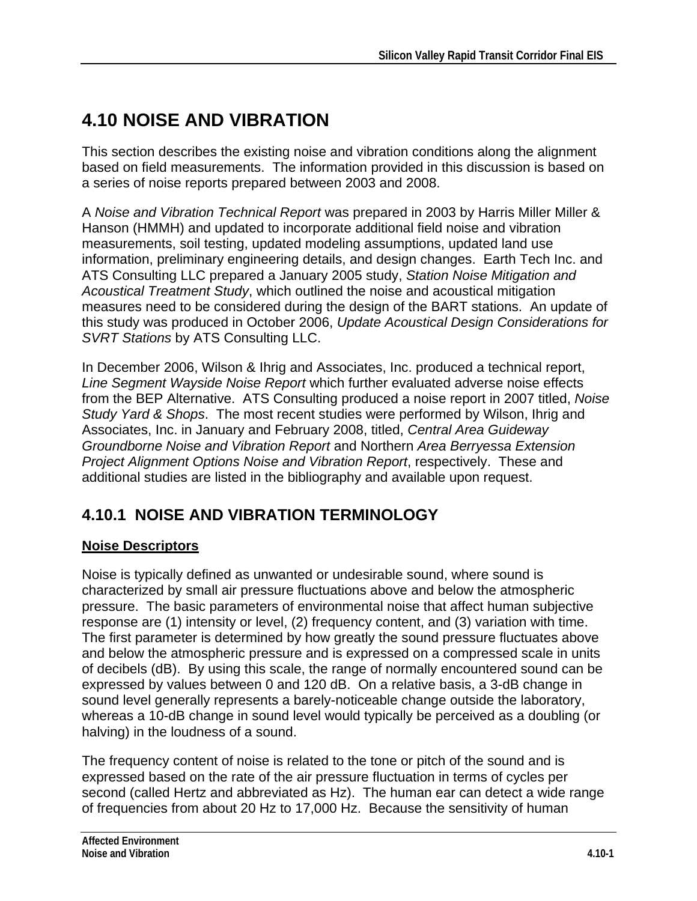# **4.10 NOISE AND VIBRATION**

This section describes the existing noise and vibration conditions along the alignment based on field measurements. The information provided in this discussion is based on a series of noise reports prepared between 2003 and 2008.

A *Noise and Vibration Technical Report* was prepared in 2003 by Harris Miller Miller & Hanson (HMMH) and updated to incorporate additional field noise and vibration measurements, soil testing, updated modeling assumptions, updated land use information, preliminary engineering details, and design changes. Earth Tech Inc. and ATS Consulting LLC prepared a January 2005 study, *Station Noise Mitigation and Acoustical Treatment Study*, which outlined the noise and acoustical mitigation measures need to be considered during the design of the BART stations. An update of this study was produced in October 2006, *Update Acoustical Design Considerations for SVRT Stations* by ATS Consulting LLC.

In December 2006, Wilson & Ihrig and Associates, Inc. produced a technical report, *Line Segment Wayside Noise Report* which further evaluated adverse noise effects from the BEP Alternative. ATS Consulting produced a noise report in 2007 titled, *Noise Study Yard & Shops*. The most recent studies were performed by Wilson, Ihrig and Associates, Inc. in January and February 2008, titled, *Central Area Guideway Groundborne Noise and Vibration Report* and Northern *Area Berryessa Extension Project Alignment Options Noise and Vibration Report*, respectively. These and additional studies are listed in the bibliography and available upon request.

# **4.10.1 NOISE AND VIBRATION TERMINOLOGY**

#### **Noise Descriptors**

Noise is typically defined as unwanted or undesirable sound, where sound is characterized by small air pressure fluctuations above and below the atmospheric pressure. The basic parameters of environmental noise that affect human subjective response are (1) intensity or level, (2) frequency content, and (3) variation with time. The first parameter is determined by how greatly the sound pressure fluctuates above and below the atmospheric pressure and is expressed on a compressed scale in units of decibels (dB). By using this scale, the range of normally encountered sound can be expressed by values between 0 and 120 dB. On a relative basis, a 3-dB change in sound level generally represents a barely-noticeable change outside the laboratory, whereas a 10-dB change in sound level would typically be perceived as a doubling (or halving) in the loudness of a sound.

The frequency content of noise is related to the tone or pitch of the sound and is expressed based on the rate of the air pressure fluctuation in terms of cycles per second (called Hertz and abbreviated as Hz). The human ear can detect a wide range of frequencies from about 20 Hz to 17,000 Hz. Because the sensitivity of human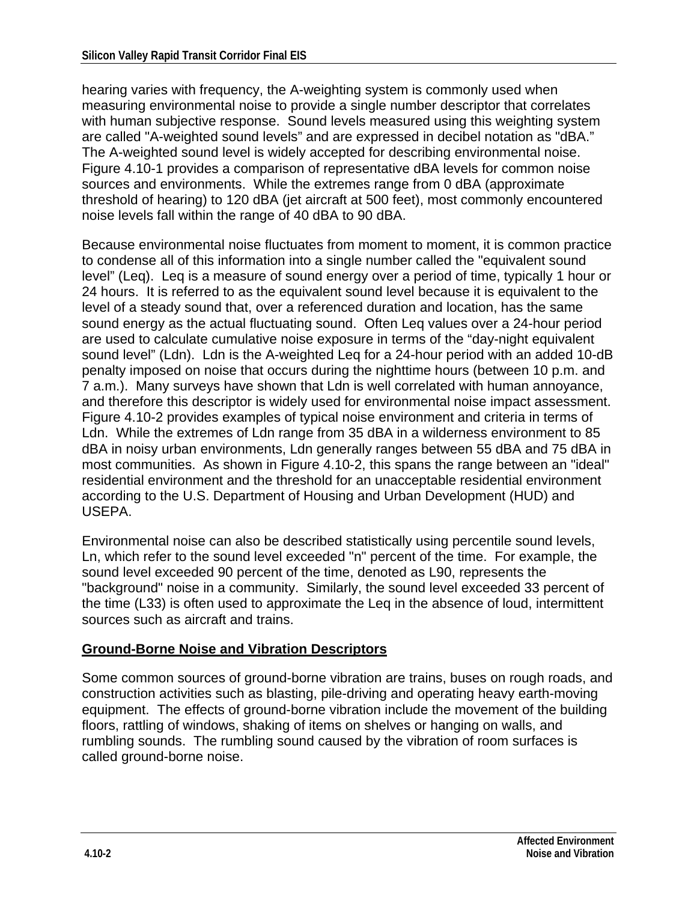hearing varies with frequency, the A-weighting system is commonly used when measuring environmental noise to provide a single number descriptor that correlates with human subjective response. Sound levels measured using this weighting system are called "A-weighted sound levels" and are expressed in decibel notation as "dBA." The A-weighted sound level is widely accepted for describing environmental noise. Figure 4.10-1 provides a comparison of representative dBA levels for common noise sources and environments. While the extremes range from 0 dBA (approximate threshold of hearing) to 120 dBA (jet aircraft at 500 feet), most commonly encountered noise levels fall within the range of 40 dBA to 90 dBA.

Because environmental noise fluctuates from moment to moment, it is common practice to condense all of this information into a single number called the "equivalent sound level" (Leq). Leq is a measure of sound energy over a period of time, typically 1 hour or 24 hours. It is referred to as the equivalent sound level because it is equivalent to the level of a steady sound that, over a referenced duration and location, has the same sound energy as the actual fluctuating sound. Often Leq values over a 24-hour period are used to calculate cumulative noise exposure in terms of the "day-night equivalent sound level" (Ldn). Ldn is the A-weighted Leq for a 24-hour period with an added 10-dB penalty imposed on noise that occurs during the nighttime hours (between 10 p.m. and 7 a.m.). Many surveys have shown that Ldn is well correlated with human annoyance, and therefore this descriptor is widely used for environmental noise impact assessment. Figure 4.10-2 provides examples of typical noise environment and criteria in terms of Ldn. While the extremes of Ldn range from 35 dBA in a wilderness environment to 85 dBA in noisy urban environments, Ldn generally ranges between 55 dBA and 75 dBA in most communities. As shown in Figure 4.10-2, this spans the range between an "ideal" residential environment and the threshold for an unacceptable residential environment according to the U.S. Department of Housing and Urban Development (HUD) and USEPA.

Environmental noise can also be described statistically using percentile sound levels, Ln, which refer to the sound level exceeded "n" percent of the time. For example, the sound level exceeded 90 percent of the time, denoted as L90, represents the "background" noise in a community. Similarly, the sound level exceeded 33 percent of the time (L33) is often used to approximate the Leq in the absence of loud, intermittent sources such as aircraft and trains.

#### **Ground-Borne Noise and Vibration Descriptors**

Some common sources of ground-borne vibration are trains, buses on rough roads, and construction activities such as blasting, pile-driving and operating heavy earth-moving equipment. The effects of ground-borne vibration include the movement of the building floors, rattling of windows, shaking of items on shelves or hanging on walls, and rumbling sounds. The rumbling sound caused by the vibration of room surfaces is called ground-borne noise.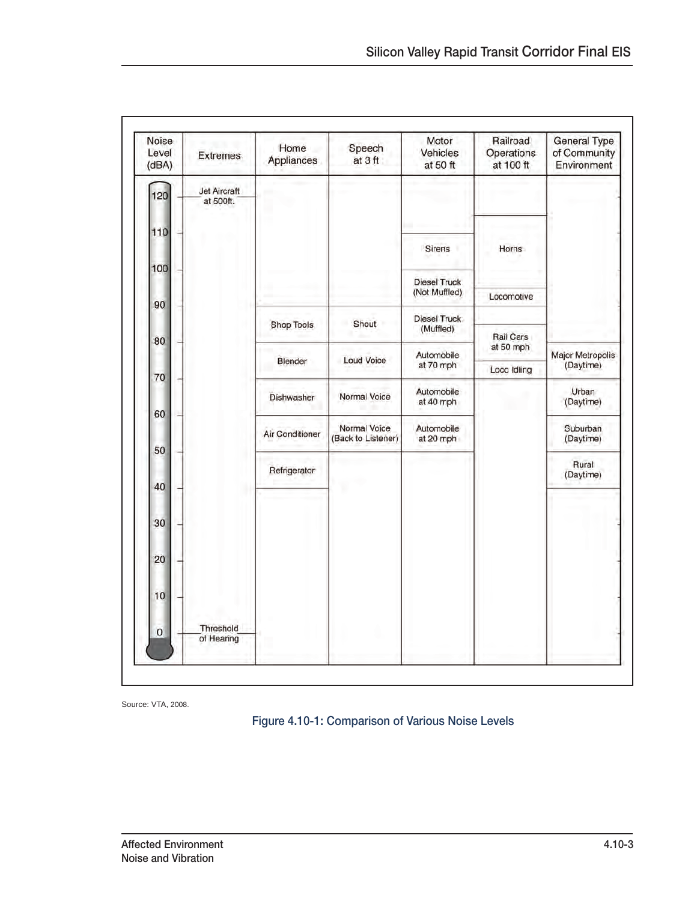| Noise<br>Level<br>(dBA) | <b>Extremes</b>           | Home<br>Appliances | Speech<br>at 3 ft                  | Motor<br>Vehicles<br>at 50 ft        | Railroad<br>Operations<br>at 100 ft | <b>General Type</b><br>of Community<br>Environment |
|-------------------------|---------------------------|--------------------|------------------------------------|--------------------------------------|-------------------------------------|----------------------------------------------------|
| 120                     | Jet Aircraft<br>at 500ft. |                    |                                    |                                      |                                     |                                                    |
| 110                     |                           |                    |                                    | Sirens                               | Horns                               |                                                    |
| 100                     |                           |                    |                                    |                                      |                                     |                                                    |
|                         |                           |                    |                                    | <b>Diesel Truck</b><br>(Not Muffled) | Locomotive                          |                                                    |
| 90                      |                           |                    |                                    | Diesel Truck                         |                                     |                                                    |
| 80                      |                           | <b>Shop Tools</b>  | Shout                              | (Muffled)                            | Rail Cars                           |                                                    |
|                         |                           | Blender            | <b>Loud Voice</b>                  | Automobile<br>at 70 mph              | at 50 mph<br>Loco Idling            | Major Metropolis<br>(Daytime)                      |
| 70                      |                           |                    |                                    | Automobile                           |                                     | Urban                                              |
| 60                      |                           | Dishwasher         | Normal Voice                       | at 40 mph                            |                                     | (Daytime)                                          |
|                         |                           | Air Conditioner    | Normal Voice<br>(Back to Listener) | Automobile<br>at 20 mph              |                                     | Suburban<br>(Daytime)                              |
| 50                      |                           |                    |                                    |                                      |                                     | Rural                                              |
| 40                      |                           | Refrigerator       |                                    |                                      |                                     | (Daytime)                                          |
|                         |                           |                    |                                    |                                      |                                     |                                                    |
| 30                      |                           |                    |                                    |                                      |                                     |                                                    |
| 20                      |                           |                    |                                    |                                      |                                     |                                                    |
| 10                      |                           |                    |                                    |                                      |                                     |                                                    |
| 0                       | Threshold<br>of Hearing   |                    |                                    |                                      |                                     |                                                    |
|                         |                           |                    |                                    |                                      |                                     |                                                    |

Source: VTA, 2008.

Figure 4.10-1: Comparison of Various Noise Levels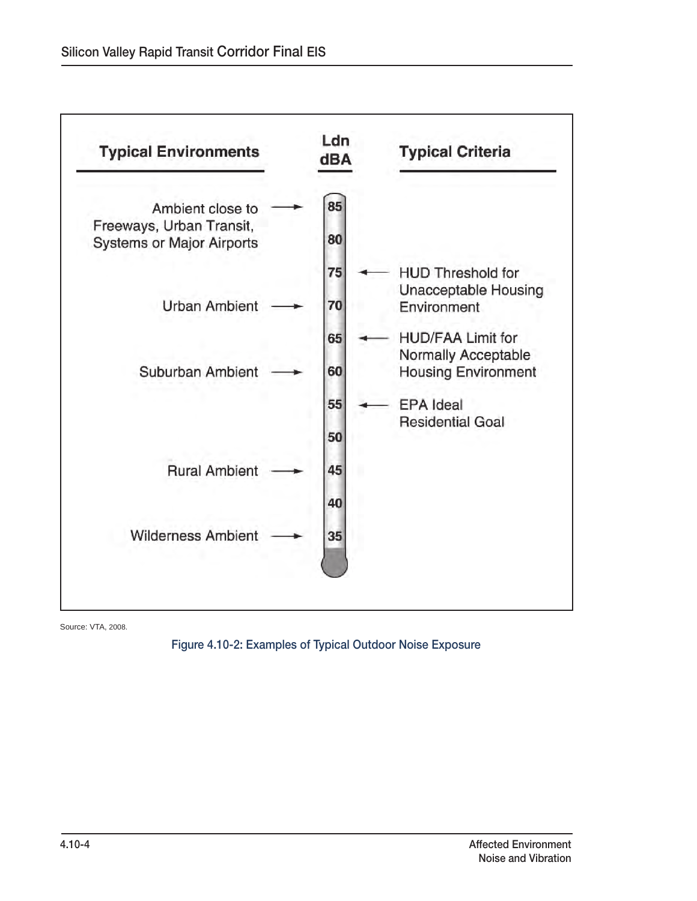

Source: VTA, 2008.

#### Figure 4.10-2: Examples of Typical Outdoor Noise Exposure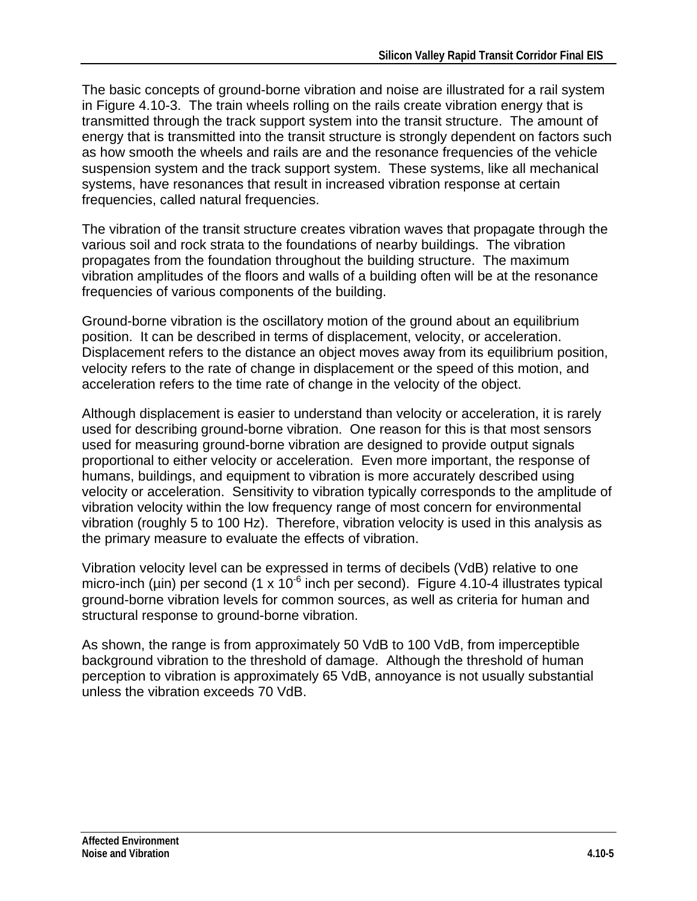The basic concepts of ground-borne vibration and noise are illustrated for a rail system in Figure 4.10-3. The train wheels rolling on the rails create vibration energy that is transmitted through the track support system into the transit structure. The amount of energy that is transmitted into the transit structure is strongly dependent on factors such as how smooth the wheels and rails are and the resonance frequencies of the vehicle suspension system and the track support system. These systems, like all mechanical systems, have resonances that result in increased vibration response at certain frequencies, called natural frequencies.

The vibration of the transit structure creates vibration waves that propagate through the various soil and rock strata to the foundations of nearby buildings. The vibration propagates from the foundation throughout the building structure. The maximum vibration amplitudes of the floors and walls of a building often will be at the resonance frequencies of various components of the building.

Ground-borne vibration is the oscillatory motion of the ground about an equilibrium position. It can be described in terms of displacement, velocity, or acceleration. Displacement refers to the distance an object moves away from its equilibrium position, velocity refers to the rate of change in displacement or the speed of this motion, and acceleration refers to the time rate of change in the velocity of the object.

Although displacement is easier to understand than velocity or acceleration, it is rarely used for describing ground-borne vibration. One reason for this is that most sensors used for measuring ground-borne vibration are designed to provide output signals proportional to either velocity or acceleration. Even more important, the response of humans, buildings, and equipment to vibration is more accurately described using velocity or acceleration. Sensitivity to vibration typically corresponds to the amplitude of vibration velocity within the low frequency range of most concern for environmental vibration (roughly 5 to 100 Hz). Therefore, vibration velocity is used in this analysis as the primary measure to evaluate the effects of vibration.

Vibration velocity level can be expressed in terms of decibels (VdB) relative to one micro-inch (µin) per second (1 x  $10^{-6}$  inch per second). Figure 4.10-4 illustrates typical ground-borne vibration levels for common sources, as well as criteria for human and structural response to ground-borne vibration.

As shown, the range is from approximately 50 VdB to 100 VdB, from imperceptible background vibration to the threshold of damage. Although the threshold of human perception to vibration is approximately 65 VdB, annoyance is not usually substantial unless the vibration exceeds 70 VdB.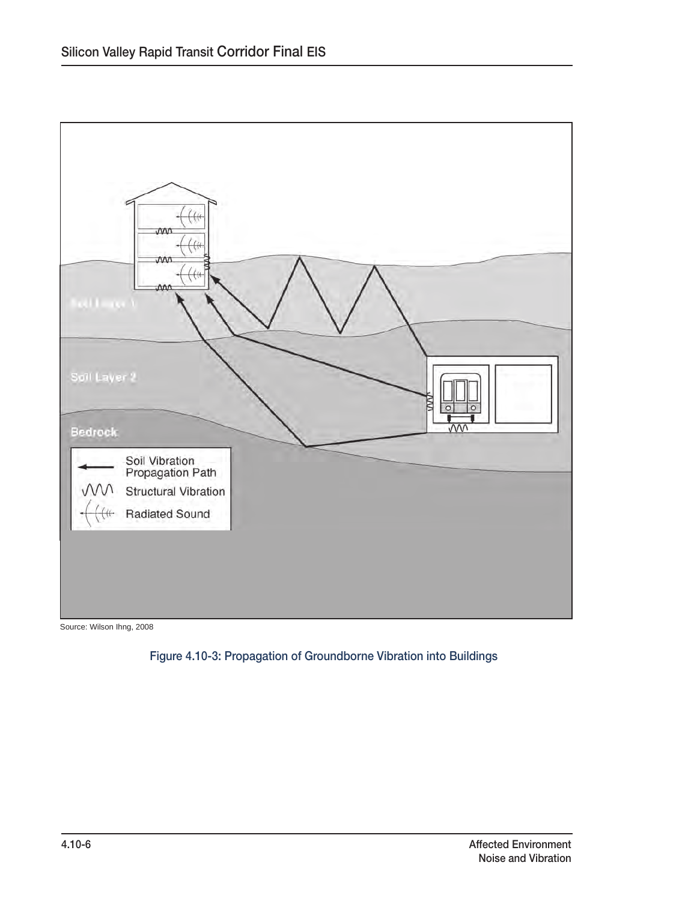

Source: Wilson Ihng, 2008

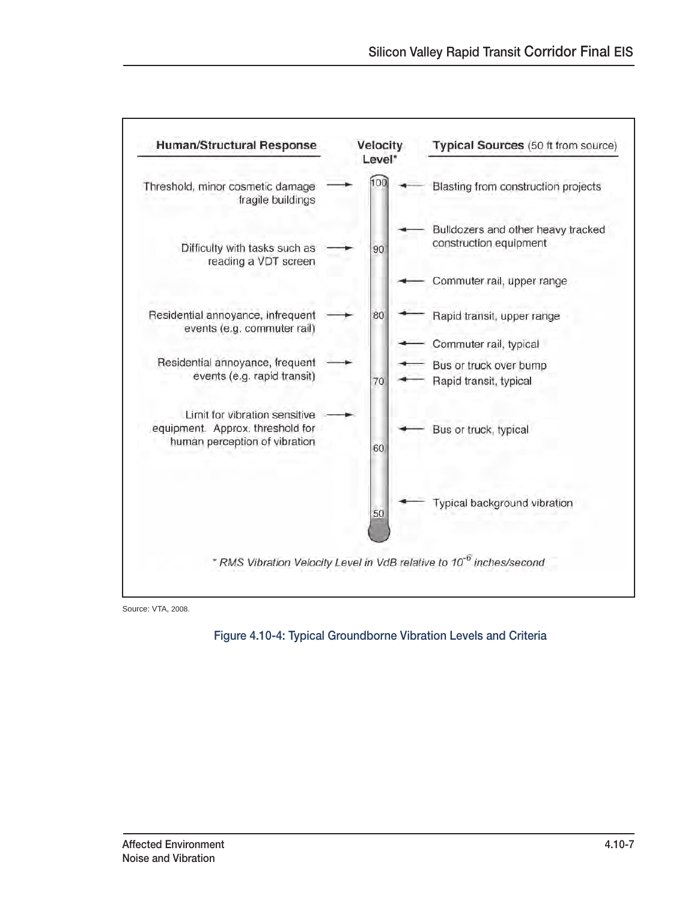

Source: VTA, 2008.

Figure 4.10-4: Typical Groundborne Vibration Levels and Criteria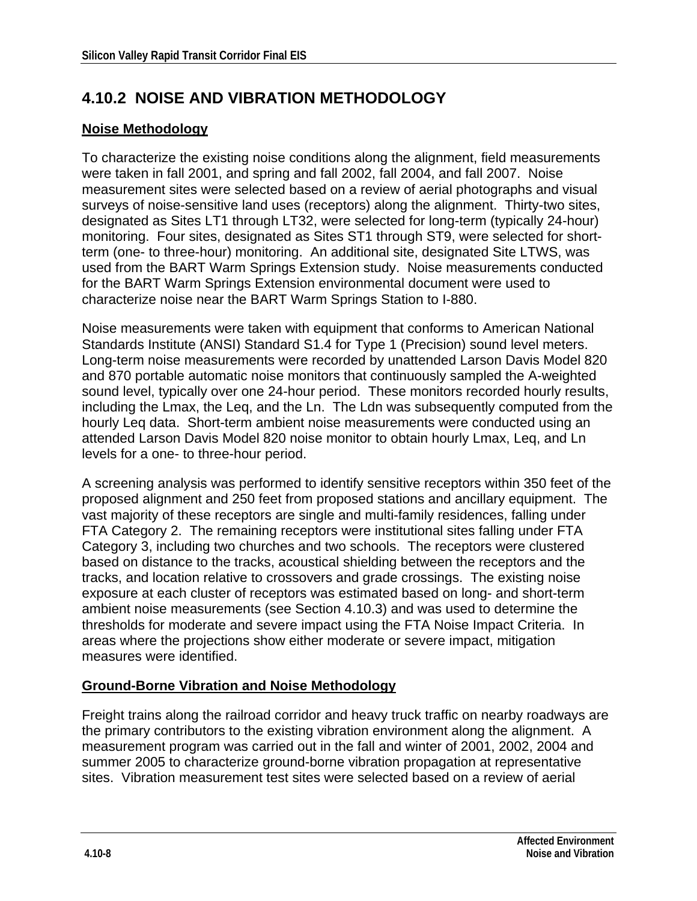# **4.10.2 NOISE AND VIBRATION METHODOLOGY**

#### **Noise Methodology**

To characterize the existing noise conditions along the alignment, field measurements were taken in fall 2001, and spring and fall 2002, fall 2004, and fall 2007. Noise measurement sites were selected based on a review of aerial photographs and visual surveys of noise-sensitive land uses (receptors) along the alignment. Thirty-two sites, designated as Sites LT1 through LT32, were selected for long-term (typically 24-hour) monitoring. Four sites, designated as Sites ST1 through ST9, were selected for shortterm (one- to three-hour) monitoring. An additional site, designated Site LTWS, was used from the BART Warm Springs Extension study. Noise measurements conducted for the BART Warm Springs Extension environmental document were used to characterize noise near the BART Warm Springs Station to I-880.

Noise measurements were taken with equipment that conforms to American National Standards Institute (ANSI) Standard S1.4 for Type 1 (Precision) sound level meters. Long-term noise measurements were recorded by unattended Larson Davis Model 820 and 870 portable automatic noise monitors that continuously sampled the A-weighted sound level, typically over one 24-hour period. These monitors recorded hourly results, including the Lmax, the Leq, and the Ln. The Ldn was subsequently computed from the hourly Leq data. Short-term ambient noise measurements were conducted using an attended Larson Davis Model 820 noise monitor to obtain hourly Lmax, Leq, and Ln levels for a one- to three-hour period.

A screening analysis was performed to identify sensitive receptors within 350 feet of the proposed alignment and 250 feet from proposed stations and ancillary equipment. The vast majority of these receptors are single and multi-family residences, falling under FTA Category 2. The remaining receptors were institutional sites falling under FTA Category 3, including two churches and two schools. The receptors were clustered based on distance to the tracks, acoustical shielding between the receptors and the tracks, and location relative to crossovers and grade crossings. The existing noise exposure at each cluster of receptors was estimated based on long- and short-term ambient noise measurements (see Section 4.10.3) and was used to determine the thresholds for moderate and severe impact using the FTA Noise Impact Criteria. In areas where the projections show either moderate or severe impact, mitigation measures were identified.

#### **Ground-Borne Vibration and Noise Methodology**

Freight trains along the railroad corridor and heavy truck traffic on nearby roadways are the primary contributors to the existing vibration environment along the alignment. A measurement program was carried out in the fall and winter of 2001, 2002, 2004 and summer 2005 to characterize ground-borne vibration propagation at representative sites. Vibration measurement test sites were selected based on a review of aerial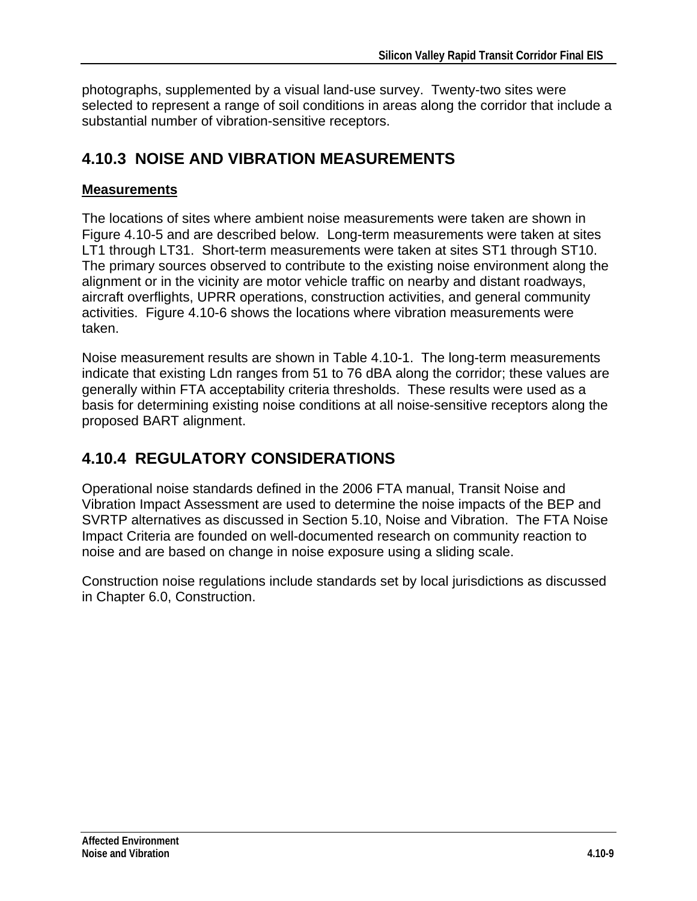photographs, supplemented by a visual land-use survey. Twenty-two sites were selected to represent a range of soil conditions in areas along the corridor that include a substantial number of vibration-sensitive receptors.

### **4.10.3 NOISE AND VIBRATION MEASUREMENTS**

#### **Measurements**

The locations of sites where ambient noise measurements were taken are shown in Figure 4.10-5 and are described below. Long-term measurements were taken at sites LT1 through LT31. Short-term measurements were taken at sites ST1 through ST10. The primary sources observed to contribute to the existing noise environment along the alignment or in the vicinity are motor vehicle traffic on nearby and distant roadways, aircraft overflights, UPRR operations, construction activities, and general community activities. Figure 4.10-6 shows the locations where vibration measurements were taken.

Noise measurement results are shown in Table 4.10-1. The long-term measurements indicate that existing Ldn ranges from 51 to 76 dBA along the corridor; these values are generally within FTA acceptability criteria thresholds. These results were used as a basis for determining existing noise conditions at all noise-sensitive receptors along the proposed BART alignment.

# **4.10.4 REGULATORY CONSIDERATIONS**

Operational noise standards defined in the 2006 FTA manual, Transit Noise and Vibration Impact Assessment are used to determine the noise impacts of the BEP and SVRTP alternatives as discussed in Section 5.10, Noise and Vibration. The FTA Noise Impact Criteria are founded on well-documented research on community reaction to noise and are based on change in noise exposure using a sliding scale.

Construction noise regulations include standards set by local jurisdictions as discussed in Chapter 6.0, Construction.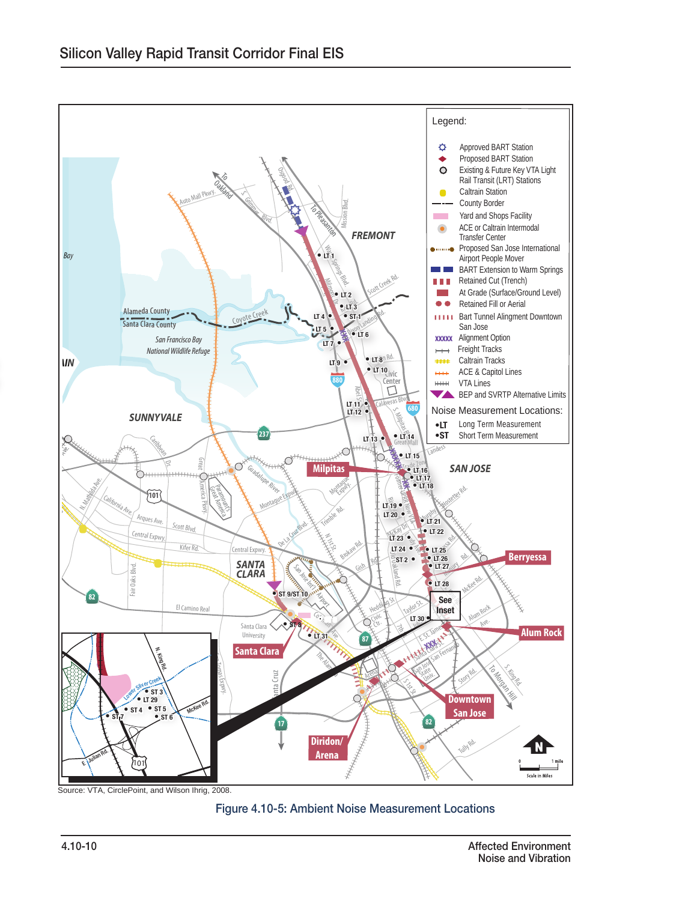

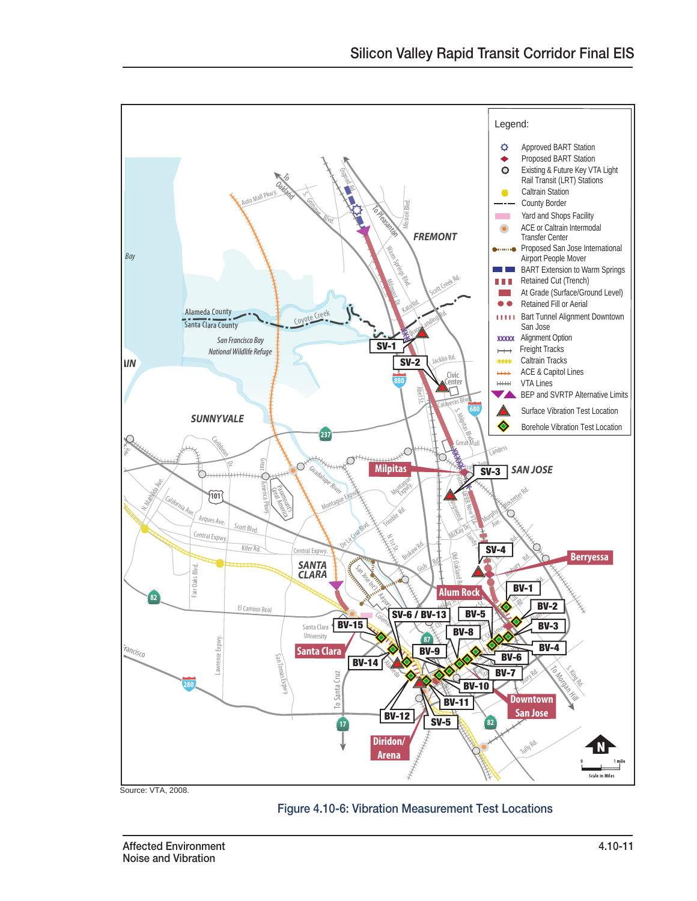

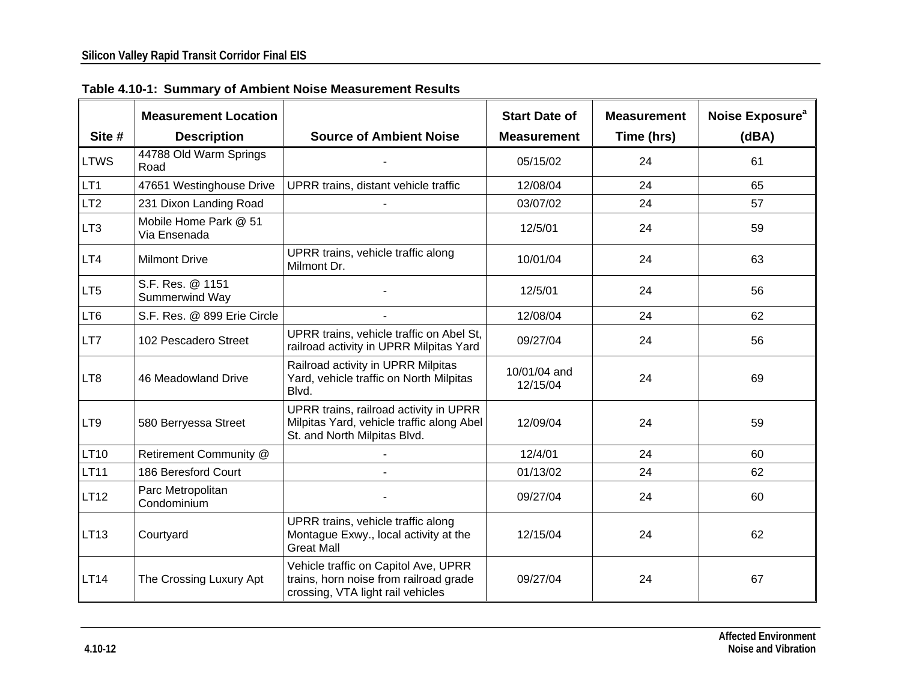|                 | <b>Measurement Location</b>           |                                                                                                                     | <b>Start Date of</b>     | <b>Measurement</b> | Noise Exposure <sup>a</sup> |
|-----------------|---------------------------------------|---------------------------------------------------------------------------------------------------------------------|--------------------------|--------------------|-----------------------------|
| Site #          | <b>Description</b>                    | <b>Source of Ambient Noise</b>                                                                                      | <b>Measurement</b>       | Time (hrs)         | (dBA)                       |
| <b>LTWS</b>     | 44788 Old Warm Springs<br>Road        |                                                                                                                     | 05/15/02                 | 24                 | 61                          |
| LT <sub>1</sub> | 47651 Westinghouse Drive              | UPRR trains, distant vehicle traffic                                                                                | 12/08/04                 | 24                 | 65                          |
| LT <sub>2</sub> | 231 Dixon Landing Road                |                                                                                                                     | 03/07/02                 | 24                 | 57                          |
| LT <sub>3</sub> | Mobile Home Park @ 51<br>Via Ensenada |                                                                                                                     | 12/5/01                  | 24                 | 59                          |
| LT4             | <b>Milmont Drive</b>                  | UPRR trains, vehicle traffic along<br>Milmont Dr.                                                                   | 10/01/04                 | 24                 | 63                          |
| LT <sub>5</sub> | S.F. Res. @ 1151<br>Summerwind Way    |                                                                                                                     | 12/5/01                  | 24                 | 56                          |
| LT6             | S.F. Res. @ 899 Erie Circle           |                                                                                                                     | 12/08/04                 | 24                 | 62                          |
| LT7             | 102 Pescadero Street                  | UPRR trains, vehicle traffic on Abel St,<br>railroad activity in UPRR Milpitas Yard                                 | 09/27/04                 | 24                 | 56                          |
| LT8             | 46 Meadowland Drive                   | Railroad activity in UPRR Milpitas<br>Yard, vehicle traffic on North Milpitas<br>Blvd.                              | 10/01/04 and<br>12/15/04 | 24                 | 69                          |
| LT9             | 580 Berryessa Street                  | UPRR trains, railroad activity in UPRR<br>Milpitas Yard, vehicle traffic along Abel<br>St. and North Milpitas Blvd. | 12/09/04                 | 24                 | 59                          |
| <b>LT10</b>     | Retirement Community @                |                                                                                                                     | 12/4/01                  | 24                 | 60                          |
| <b>LT11</b>     | 186 Beresford Court                   |                                                                                                                     | 01/13/02                 | 24                 | 62                          |
| <b>LT12</b>     | Parc Metropolitan<br>Condominium      |                                                                                                                     | 09/27/04                 | 24                 | 60                          |
| LT13            | Courtyard                             | UPRR trains, vehicle traffic along<br>Montague Exwy., local activity at the<br><b>Great Mall</b>                    | 12/15/04                 | 24                 | 62                          |
| <b>LT14</b>     | The Crossing Luxury Apt               | Vehicle traffic on Capitol Ave, UPRR<br>trains, horn noise from railroad grade<br>crossing, VTA light rail vehicles | 09/27/04                 | 24                 | 67                          |

**Table 4.10-1: Summary of Ambient Noise Measurement Results**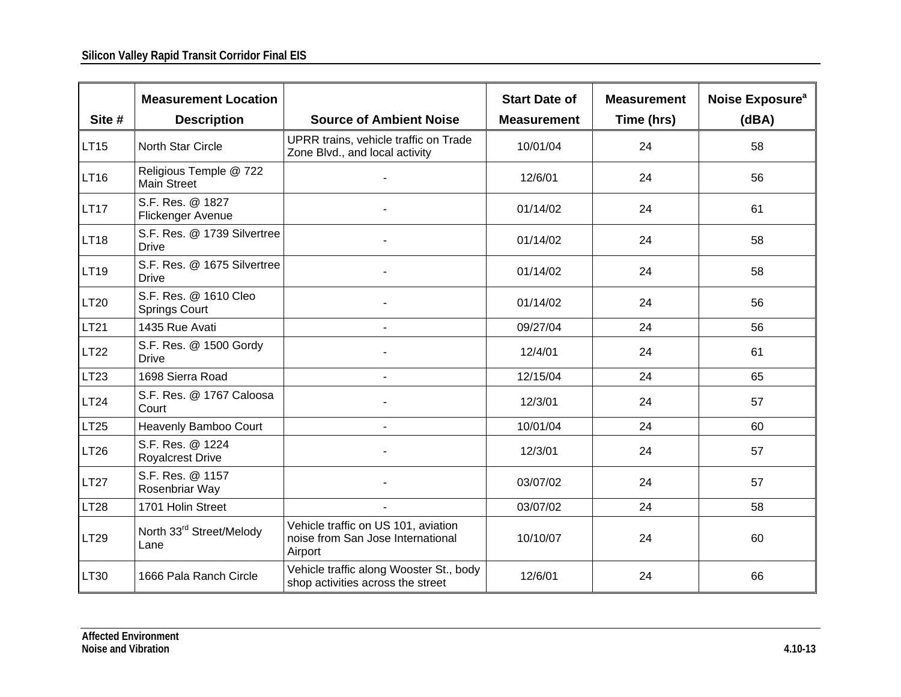|             | <b>Measurement Location</b>                   |                                                                                     | <b>Start Date of</b> | <b>Measurement</b> | Noise Exposure <sup>a</sup> |
|-------------|-----------------------------------------------|-------------------------------------------------------------------------------------|----------------------|--------------------|-----------------------------|
| Site #      | <b>Description</b>                            | <b>Source of Ambient Noise</b>                                                      | <b>Measurement</b>   | Time (hrs)         | (dBA)                       |
| <b>LT15</b> | North Star Circle                             | UPRR trains, vehicle traffic on Trade<br>Zone Blvd., and local activity             | 10/01/04             | 24                 | 58                          |
| <b>LT16</b> | Religious Temple @ 722<br><b>Main Street</b>  |                                                                                     | 12/6/01              | 24                 | 56                          |
| <b>LT17</b> | S.F. Res. @ 1827<br>Flickenger Avenue         |                                                                                     | 01/14/02             | 24                 | 61                          |
| <b>LT18</b> | S.F. Res. @ 1739 Silvertree<br><b>Drive</b>   |                                                                                     | 01/14/02             | 24                 | 58                          |
| LT19        | S.F. Res. @ 1675 Silvertree<br><b>Drive</b>   |                                                                                     | 01/14/02             | 24                 | 58                          |
| LT20        | S.F. Res. @ 1610 Cleo<br><b>Springs Court</b> |                                                                                     | 01/14/02             | 24                 | 56                          |
| <b>LT21</b> | 1435 Rue Avati                                | $\blacksquare$                                                                      | 09/27/04             | 24                 | 56                          |
| <b>LT22</b> | S.F. Res. @ 1500 Gordy<br><b>Drive</b>        |                                                                                     | 12/4/01              | 24                 | 61                          |
| <b>LT23</b> | 1698 Sierra Road                              |                                                                                     | 12/15/04             | 24                 | 65                          |
| LT24        | S.F. Res. @ 1767 Caloosa<br>Court             |                                                                                     | 12/3/01              | 24                 | 57                          |
| <b>LT25</b> | Heavenly Bamboo Court                         | $\blacksquare$                                                                      | 10/01/04             | 24                 | 60                          |
| <b>LT26</b> | S.F. Res. @ 1224<br><b>Royalcrest Drive</b>   |                                                                                     | 12/3/01              | 24                 | 57                          |
| <b>LT27</b> | S.F. Res. @ 1157<br>Rosenbriar Way            |                                                                                     | 03/07/02             | 24                 | 57                          |
| <b>LT28</b> | 1701 Holin Street                             |                                                                                     | 03/07/02             | 24                 | 58                          |
| LT29        | North 33rd Street/Melody<br>Lane              | Vehicle traffic on US 101, aviation<br>noise from San Jose International<br>Airport | 10/10/07             | 24                 | 60                          |
| LT30        | 1666 Pala Ranch Circle                        | Vehicle traffic along Wooster St., body<br>shop activities across the street        | 12/6/01              | 24                 | 66                          |